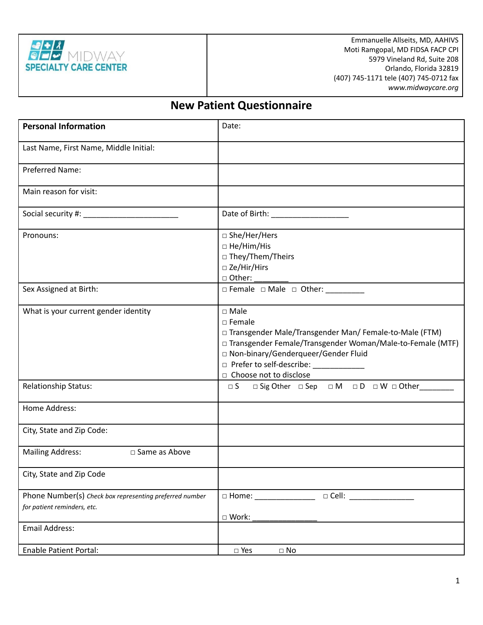

Emmanuelle Allseits, MD, AAHIVS Moti Ramgopal, MD FIDSA FACP CPI 5979 Vineland Rd, Suite 208 Orlando, Florida 32819 (407) 745-1171 tele (407) 745-0712 fax *www.midwaycare.org*

# **New Patient Questionnaire**

| <b>Personal Information</b>                                                            | Date:                                                                                                                                                                                                                                                                          |  |  |  |  |
|----------------------------------------------------------------------------------------|--------------------------------------------------------------------------------------------------------------------------------------------------------------------------------------------------------------------------------------------------------------------------------|--|--|--|--|
| Last Name, First Name, Middle Initial:                                                 |                                                                                                                                                                                                                                                                                |  |  |  |  |
| Preferred Name:                                                                        |                                                                                                                                                                                                                                                                                |  |  |  |  |
| Main reason for visit:                                                                 |                                                                                                                                                                                                                                                                                |  |  |  |  |
|                                                                                        |                                                                                                                                                                                                                                                                                |  |  |  |  |
| Pronouns:                                                                              | □ She/Her/Hers<br>□ He/Him/His<br>□ They/Them/Theirs<br>$\square$ Ze/Hir/Hirs                                                                                                                                                                                                  |  |  |  |  |
| Sex Assigned at Birth:                                                                 | □ Female □ Male □ Other:                                                                                                                                                                                                                                                       |  |  |  |  |
| What is your current gender identity                                                   | $\square$ Male<br>$\square$ Female<br>□ Transgender Male/Transgender Man/ Female-to-Male (FTM)<br>□ Transgender Female/Transgender Woman/Male-to-Female (MTF)<br>□ Non-binary/Genderqueer/Gender Fluid<br>□ Prefer to self-describe: _____________<br>□ Choose not to disclose |  |  |  |  |
| Relationship Status:                                                                   | $\square$ Sig Other $\square$ Sep $\square$ M $\square$ D $\square$ W $\square$ Other<br>$\Box$ S                                                                                                                                                                              |  |  |  |  |
| Home Address:                                                                          |                                                                                                                                                                                                                                                                                |  |  |  |  |
| City, State and Zip Code:                                                              |                                                                                                                                                                                                                                                                                |  |  |  |  |
| Mailing Address: <sub> □</sub> Same as Above                                           |                                                                                                                                                                                                                                                                                |  |  |  |  |
| City, State and Zip Code                                                               |                                                                                                                                                                                                                                                                                |  |  |  |  |
| Phone Number(s) Check box representing preferred number<br>for patient reminders, etc. | $\Box$ Cell:<br>$\square$ Home: $\qquad \qquad \blacksquare$<br>□ Work:                                                                                                                                                                                                        |  |  |  |  |
| Email Address:                                                                         |                                                                                                                                                                                                                                                                                |  |  |  |  |
| <b>Enable Patient Portal:</b>                                                          | $\Box$ Yes<br>$\Box$ No                                                                                                                                                                                                                                                        |  |  |  |  |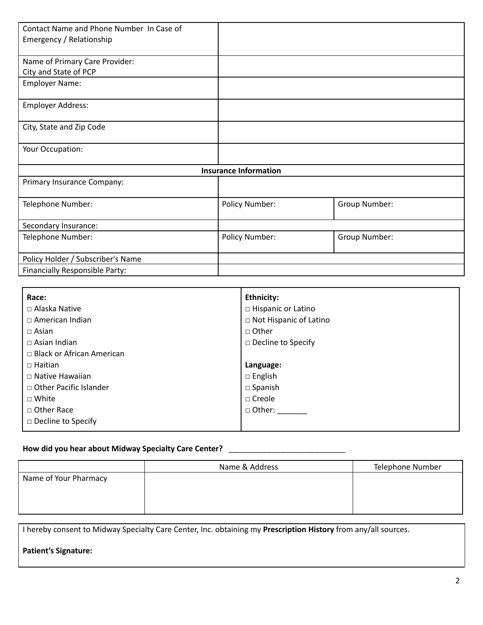| Contact Name and Phone Number In Case of |                              |               |
|------------------------------------------|------------------------------|---------------|
| Emergency / Relationship                 |                              |               |
|                                          |                              |               |
| Name of Primary Care Provider:           |                              |               |
| City and State of PCP                    |                              |               |
| <b>Employer Name:</b>                    |                              |               |
| <b>Employer Address:</b>                 |                              |               |
| City, State and Zip Code                 |                              |               |
| Your Occupation:                         |                              |               |
|                                          | <b>Insurance Information</b> |               |
| Primary Insurance Company:               |                              |               |
| Telephone Number:                        | Policy Number:               | Group Number: |
| Secondary Insurance:                     |                              |               |
| Telephone Number:                        | Policy Number:               | Group Number: |
| Policy Holder / Subscriber's Name        |                              |               |
| Financially Responsible Party:           |                              |               |

| Race:                            | Ethnicity:                |  |  |
|----------------------------------|---------------------------|--|--|
| $\Box$ Alaska Native             | $\Box$ Hispanic or Latino |  |  |
| $\Box$ American Indian           | □ Not Hispanic of Latino  |  |  |
| $\Box$ Asian                     | □ Other                   |  |  |
| $\Box$ Asian Indian              | $\Box$ Decline to Specify |  |  |
| $\Box$ Black or African American |                           |  |  |
| $\Box$ Haitian                   | Language:                 |  |  |
| $\Box$ Native Hawaiian           | $\Box$ English            |  |  |
| □ Other Pacific Islander         | $\square$ Spanish         |  |  |
| $\Box$ White                     | $\Box$ Creole             |  |  |
| □ Other Race                     | $\Box$ Other:             |  |  |
| $\Box$ Decline to Specify        |                           |  |  |
|                                  |                           |  |  |

### **How did you hear about Midway Specialty Care Center?** \_\_\_\_\_\_\_\_\_\_\_\_\_\_\_\_\_\_\_\_\_\_\_\_\_\_\_

|                       | Name & Address | Telephone Number |
|-----------------------|----------------|------------------|
| Name of Your Pharmacy |                |                  |
|                       |                |                  |
|                       |                |                  |
|                       |                |                  |

I hereby consent to Midway Specialty Care Center, Inc. obtaining my **Prescription History** from any/all sources.

## **Patient's Signature:**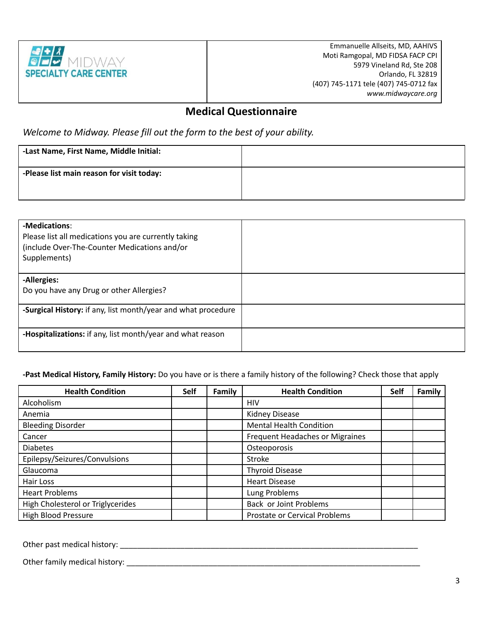

Emmanuelle Allseits, MD, AAHIVS Moti Ramgopal, MD FIDSA FACP CPI 5979 Vineland Rd, Ste 208 Orlando, FL 32819 (407) 745-1171 tele (407) 745-0712 fax *www.midwaycare.org*

# **Medical Questionnaire**

*Welcome to Midway. Please fill out the form to the best of your ability.*

| -Last Name, First Name, Middle Initial:   |  |
|-------------------------------------------|--|
| -Please list main reason for visit today: |  |

| -Medications:<br>Please list all medications you are currently taking<br>(include Over-The-Counter Medications and/or<br>Supplements) |  |
|---------------------------------------------------------------------------------------------------------------------------------------|--|
| -Allergies:<br>Do you have any Drug or other Allergies?                                                                               |  |
| -Surgical History: if any, list month/year and what procedure                                                                         |  |
| -Hospitalizations: if any, list month/year and what reason                                                                            |  |

**-Past Medical History, Family History:** Do you have or is there a family history of the following? Check those that apply

| <b>Health Condition</b>           | <b>Self</b> | Family | <b>Health Condition</b>         | <b>Self</b> | Family |
|-----------------------------------|-------------|--------|---------------------------------|-------------|--------|
| Alcoholism                        |             |        | HIV                             |             |        |
| Anemia                            |             |        | <b>Kidney Disease</b>           |             |        |
| <b>Bleeding Disorder</b>          |             |        | <b>Mental Health Condition</b>  |             |        |
| Cancer                            |             |        | Frequent Headaches or Migraines |             |        |
| <b>Diabetes</b>                   |             |        | Osteoporosis                    |             |        |
| Epilepsy/Seizures/Convulsions     |             |        | <b>Stroke</b>                   |             |        |
| Glaucoma                          |             |        | <b>Thyroid Disease</b>          |             |        |
| Hair Loss                         |             |        | <b>Heart Disease</b>            |             |        |
| <b>Heart Problems</b>             |             |        | Lung Problems                   |             |        |
| High Cholesterol or Triglycerides |             |        | Back or Joint Problems          |             |        |
| <b>High Blood Pressure</b>        |             |        | Prostate or Cervical Problems   |             |        |

Other past medical history: \_\_\_\_\_\_\_\_\_\_\_\_\_\_\_\_\_\_\_\_\_\_\_\_\_\_\_\_\_\_\_\_\_\_\_\_\_\_\_\_\_\_\_\_\_\_\_\_\_\_\_\_\_\_\_\_\_\_\_\_\_\_\_\_\_\_\_\_\_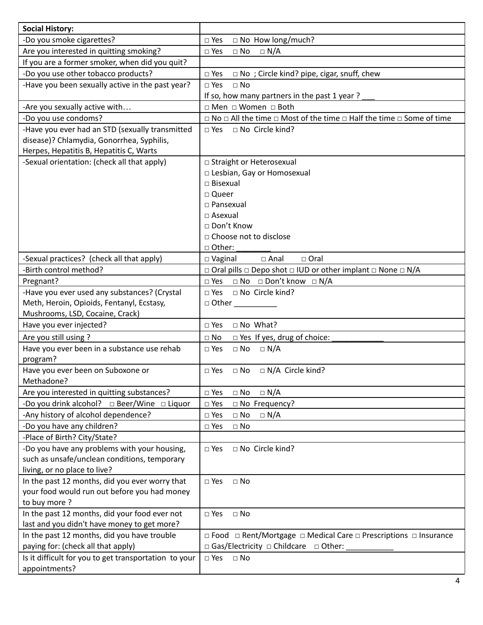| <b>Social History:</b>                                       |                                                                                                |
|--------------------------------------------------------------|------------------------------------------------------------------------------------------------|
| -Do you smoke cigarettes?                                    | $\Box$ No How long/much?<br>$\square$ Yes                                                      |
| Are you interested in quitting smoking?                      | $\Box$ N/A<br>$\square$ Yes<br>$\Box$ No                                                       |
| If you are a former smoker, when did you quit?               |                                                                                                |
| -Do you use other tobacco products?                          | $\Box$ No; Circle kind? pipe, cigar, snuff, chew<br>$\Box$ Yes                                 |
| -Have you been sexually active in the past year?             | $\square$ Yes<br>$\Box$ No                                                                     |
|                                                              | If so, how many partners in the past 1 year?                                                   |
| -Are you sexually active with                                | □ Men □ Women □ Both                                                                           |
| -Do you use condoms?                                         | $\Box$ No $\Box$ All the time $\Box$ Most of the time $\Box$ Half the time $\Box$ Some of time |
| -Have you ever had an STD (sexually transmitted              | $\Box$ Yes<br>□ No Circle kind?                                                                |
| disease)? Chlamydia, Gonorrhea, Syphilis,                    |                                                                                                |
| Herpes, Hepatitis B, Hepatitis C, Warts                      |                                                                                                |
| -Sexual orientation: (check all that apply)                  | □ Straight or Heterosexual                                                                     |
|                                                              | □ Lesbian, Gay or Homosexual                                                                   |
|                                                              | $\Box$ Bisexual                                                                                |
|                                                              | □ Queer                                                                                        |
|                                                              | $\square$ Pansexual                                                                            |
|                                                              | $\Box$ Asexual                                                                                 |
|                                                              | □ Don't Know                                                                                   |
|                                                              | □ Choose not to disclose                                                                       |
|                                                              | □ Other:                                                                                       |
| -Sexual practices? (check all that apply)                    | $\square$ Anal<br>$\Box$ Oral<br>$\Box$ Vaginal                                                |
| -Birth control method?                                       | $\Box$ Oral pills $\Box$ Depo shot $\Box$ IUD or other implant $\Box$ None $\Box$ N/A          |
| Pregnant?                                                    | $\square$ No $\square$ Don't know $\square$ N/A<br>$\Box$ Yes                                  |
| -Have you ever used any substances? (Crystal                 | □ No Circle kind?<br>$\Box$ Yes                                                                |
| Meth, Heroin, Opioids, Fentanyl, Ecstasy,                    | $\Box$ Other                                                                                   |
| Mushrooms, LSD, Cocaine, Crack)                              |                                                                                                |
| Have you ever injected?                                      | □ No What?<br>$\square$ Yes                                                                    |
| Are you still using?                                         | $\Box$ Yes If yes, drug of choice:<br>$\Box$ No                                                |
| Have you ever been in a substance use rehab                  | $\Box$ No $\Box$ N/A<br>$\Box$ Yes                                                             |
| program?                                                     |                                                                                                |
| Have you ever been on Suboxone or                            | $\square$ Yes<br>$\Box$ N/A Circle kind?<br>$\Box$ No                                          |
| Methadone?                                                   |                                                                                                |
| Are you interested in quitting substances?                   | $\Box$ N/A<br>$\square$ Yes<br>$\Box$ No                                                       |
| -Do you drink alcohol? $\Box$ Beer/Wine $\Box$ Liquor        | □ No Frequency?<br>$\Box$ Yes                                                                  |
| -Any history of alcohol dependence?                          | $\square$ Yes<br>$\Box$ No<br>$\Box$ N/A                                                       |
| -Do you have any children?                                   | $\Box$ No<br>$\Box$ Yes                                                                        |
| -Place of Birth? City/State?                                 |                                                                                                |
| -Do you have any problems with your housing,                 | □ No Circle kind?<br>$\Box$ Yes                                                                |
| such as unsafe/unclean conditions, temporary                 |                                                                                                |
| living, or no place to live?                                 | $\square$ No                                                                                   |
| In the past 12 months, did you ever worry that               | $\square$ Yes                                                                                  |
| your food would run out before you had money<br>to buy more? |                                                                                                |
| In the past 12 months, did your food ever not                | $\square$ Yes<br>$\Box$ No                                                                     |
| last and you didn't have money to get more?                  |                                                                                                |
| In the past 12 months, did you have trouble                  | □ Food □ Rent/Mortgage □ Medical Care □ Prescriptions □ Insurance                              |
| paying for: (check all that apply)                           | $\Box$ Gas/Electricity $\Box$ Childcare $\Box$ Other:                                          |
| Is it difficult for you to get transportation to your        | $\square$ Yes<br>$\Box$ No                                                                     |
| appointments?                                                |                                                                                                |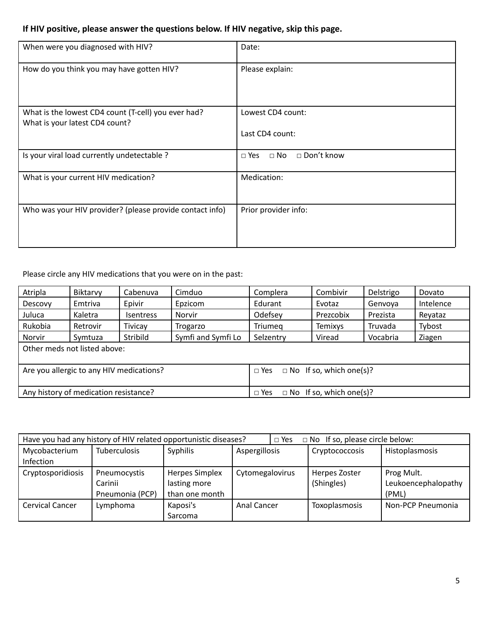# **If HIV positive, please answer the questions below. If HIV negative, skip this page.**

| When were you diagnosed with HIV?                                                     | Date:                                   |
|---------------------------------------------------------------------------------------|-----------------------------------------|
| How do you think you may have gotten HIV?                                             | Please explain:                         |
| What is the lowest CD4 count (T-cell) you ever had?<br>What is your latest CD4 count? | Lowest CD4 count:<br>Last CD4 count:    |
| Is your viral load currently undetectable ?                                           | □ Don't know<br>$\Box$ No<br>$\Box$ Yes |
| What is your current HIV medication?                                                  | Medication:                             |
| Who was your HIV provider? (please provide contact info)                              | Prior provider info:                    |

Please circle any HIV medications that you were on in the past:

| Atripla                                  | Biktarvy | Cabenuva         | Cimduo                                       | Complera             | Combivir                       | Delstrigo | Dovato    |
|------------------------------------------|----------|------------------|----------------------------------------------|----------------------|--------------------------------|-----------|-----------|
| Descovy                                  | Emtriva  | Epivir           | Epzicom                                      | Edurant<br>Evotaz    |                                | Genvoya   | Intelence |
| Juluca                                   | Kaletra  | <b>Isentress</b> | Norvir                                       | Odefsey<br>Prezcobix |                                | Prezista  | Reyataz   |
| Rukobia                                  | Retrovir | <b>Tivicay</b>   | Trogarzo                                     | <b>Triumeg</b>       | <b>Temixys</b>                 | Truvada   | Tybost    |
| Norvir                                   | Symtuza  | Stribild         | Symfi and Symfi Lo                           | Selzentry            | Viread                         | Vocabria  | Ziagen    |
| Other meds not listed above:             |          |                  |                                              |                      |                                |           |           |
|                                          |          |                  |                                              |                      |                                |           |           |
| Are you allergic to any HIV medications? |          |                  | $\Box$ No If so, which one(s)?<br>$\Box$ Yes |                      |                                |           |           |
|                                          |          |                  |                                              |                      |                                |           |           |
| Any history of medication resistance?    |          |                  |                                              | $\Box$ Yes           | $\Box$ No If so, which one(s)? |           |           |

| Have you had any history of HIV related opportunistic diseases? |                     |                       |                    | $\Box$ No If so, please circle below:<br>$\Box$ Yes |                |                     |  |
|-----------------------------------------------------------------|---------------------|-----------------------|--------------------|-----------------------------------------------------|----------------|---------------------|--|
| Mycobacterium                                                   | <b>Tuberculosis</b> | Syphilis              | Aspergillosis      |                                                     | Cryptococcosis | Histoplasmosis      |  |
| <b>Infection</b>                                                |                     |                       |                    |                                                     |                |                     |  |
| Cryptosporidiosis                                               | Pneumocystis        | <b>Herpes Simplex</b> | Cytomegalovirus    |                                                     | Herpes Zoster  | Prog Mult.          |  |
|                                                                 | Carinii             | lasting more          |                    |                                                     | (Shingles)     | Leukoencephalopathy |  |
|                                                                 | Pneumonia (PCP)     | than one month        |                    |                                                     |                | (PML)               |  |
| Cervical Cancer                                                 | Lymphoma            | Kaposi's              | <b>Anal Cancer</b> |                                                     | Toxoplasmosis  | Non-PCP Pneumonia   |  |
|                                                                 |                     | Sarcoma               |                    |                                                     |                |                     |  |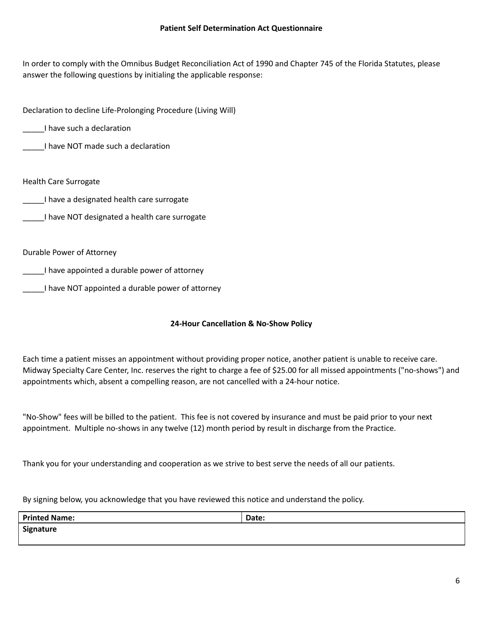In order to comply with the Omnibus Budget Reconciliation Act of 1990 and Chapter 745 of the Florida Statutes, please answer the following questions by initialing the applicable response:

Declaration to decline Life-Prolonging Procedure (Living Will)

\_\_\_\_\_I have such a declaration

\_\_\_\_\_I have NOT made such a declaration

Health Care Surrogate

\_\_\_\_\_I have a designated health care surrogate

I have NOT designated a health care surrogate

Durable Power of Attorney

\_\_\_\_\_I have appointed a durable power of attorney

I have NOT appointed a durable power of attorney

#### **24-Hour Cancellation & No-Show Policy**

Each time a patient misses an appointment without providing proper notice, another patient is unable to receive care. Midway Specialty Care Center, Inc. reserves the right to charge a fee of \$25.00 for all missed appointments ("no-shows") and appointments which, absent a compelling reason, are not cancelled with a 24-hour notice.

"No-Show" fees will be billed to the patient. This fee is not covered by insurance and must be paid prior to your next appointment. Multiple no-shows in any twelve (12) month period by result in discharge from the Practice.

Thank you for your understanding and cooperation as we strive to best serve the needs of all our patients.

By signing below, you acknowledge that you have reviewed this notice and understand the policy.

| <b>Printed Name:</b> | Date: |
|----------------------|-------|
| Signature            |       |
|                      |       |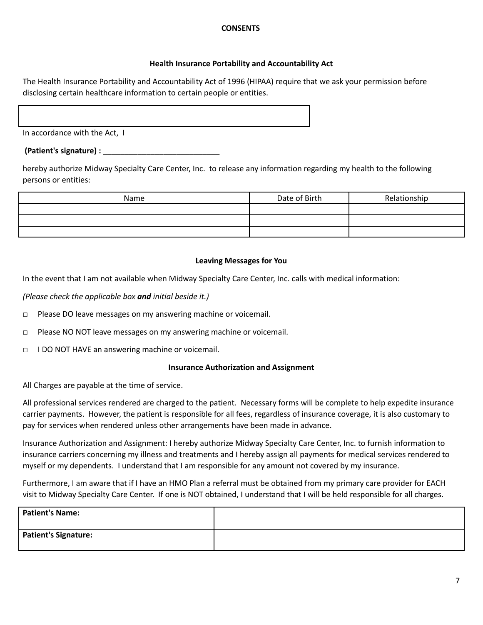#### **CONSENTS**

#### **Health Insurance Portability and Accountability Act**

The Health Insurance Portability and Accountability Act of 1996 (HIPAA) require that we ask your permission before disclosing certain healthcare information to certain people or entities.

In accordance with the Act, I

#### **(Patient's signature) :** \_\_\_\_\_\_\_\_\_\_\_\_\_\_\_\_\_\_\_\_\_\_\_\_\_\_\_

hereby authorize Midway Specialty Care Center, Inc. to release any information regarding my health to the following persons or entities:

| Name | Date of Birth | Relationship |
|------|---------------|--------------|
|      |               |              |
|      |               |              |
|      |               |              |

#### **Leaving Messages for You**

In the event that I am not available when Midway Specialty Care Center, Inc. calls with medical information:

*(Please check the applicable box and initial beside it.)*

- □ Please DO leave messages on my answering machine or voicemail.
- □ Please NO NOT leave messages on my answering machine or voicemail.
- □ I DO NOT HAVE an answering machine or voicemail.

#### **Insurance Authorization and Assignment**

All Charges are payable at the time of service.

All professional services rendered are charged to the patient. Necessary forms will be complete to help expedite insurance carrier payments. However, the patient is responsible for all fees, regardless of insurance coverage, it is also customary to pay for services when rendered unless other arrangements have been made in advance.

Insurance Authorization and Assignment: I hereby authorize Midway Specialty Care Center, Inc. to furnish information to insurance carriers concerning my illness and treatments and I hereby assign all payments for medical services rendered to myself or my dependents. I understand that I am responsible for any amount not covered by my insurance.

Furthermore, I am aware that if I have an HMO Plan a referral must be obtained from my primary care provider for EACH visit to Midway Specialty Care Center. If one is NOT obtained, I understand that I will be held responsible for all charges.

| <b>Patient's Name:</b>      |  |
|-----------------------------|--|
| <b>Patient's Signature:</b> |  |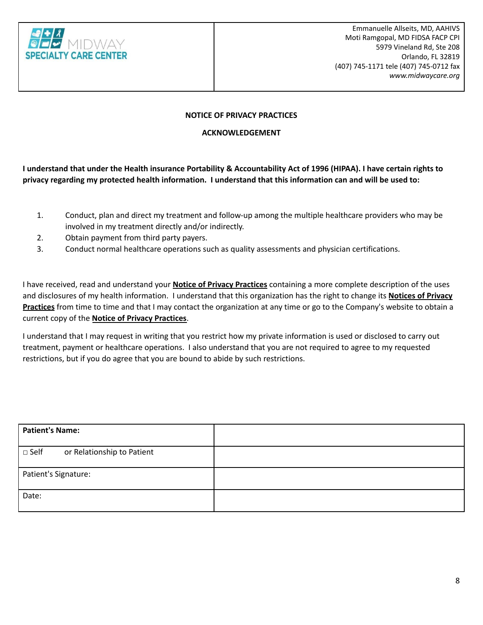

#### **NOTICE OF PRIVACY PRACTICES**

#### **ACKNOWLEDGEMENT**

I understand that under the Health insurance Portability & Accountability Act of 1996 (HIPAA). I have certain rights to privacy regarding my protected health information. I understand that this information can and will be used to:

- 1. Conduct, plan and direct my treatment and follow-up among the multiple healthcare providers who may be involved in my treatment directly and/or indirectly.
- 2. Obtain payment from third party payers.
- 3. Conduct normal healthcare operations such as quality assessments and physician certifications.

I have received, read and understand your **Notice of Privacy Practices** containing a more complete description of the uses and disclosures of my health information. I understand that this organization has the right to change its **Notices of Privacy Practices** from time to time and that I may contact the organization at any time or go to the Company's website to obtain a current copy of the **Notice of Privacy Practices**.

I understand that I may request in writing that you restrict how my private information is used or disclosed to carry out treatment, payment or healthcare operations. I also understand that you are not required to agree to my requested restrictions, but if you do agree that you are bound to abide by such restrictions.

| <b>Patient's Name:</b>                       |  |
|----------------------------------------------|--|
| $\square$ Self<br>or Relationship to Patient |  |
| Patient's Signature:                         |  |
| Date:                                        |  |